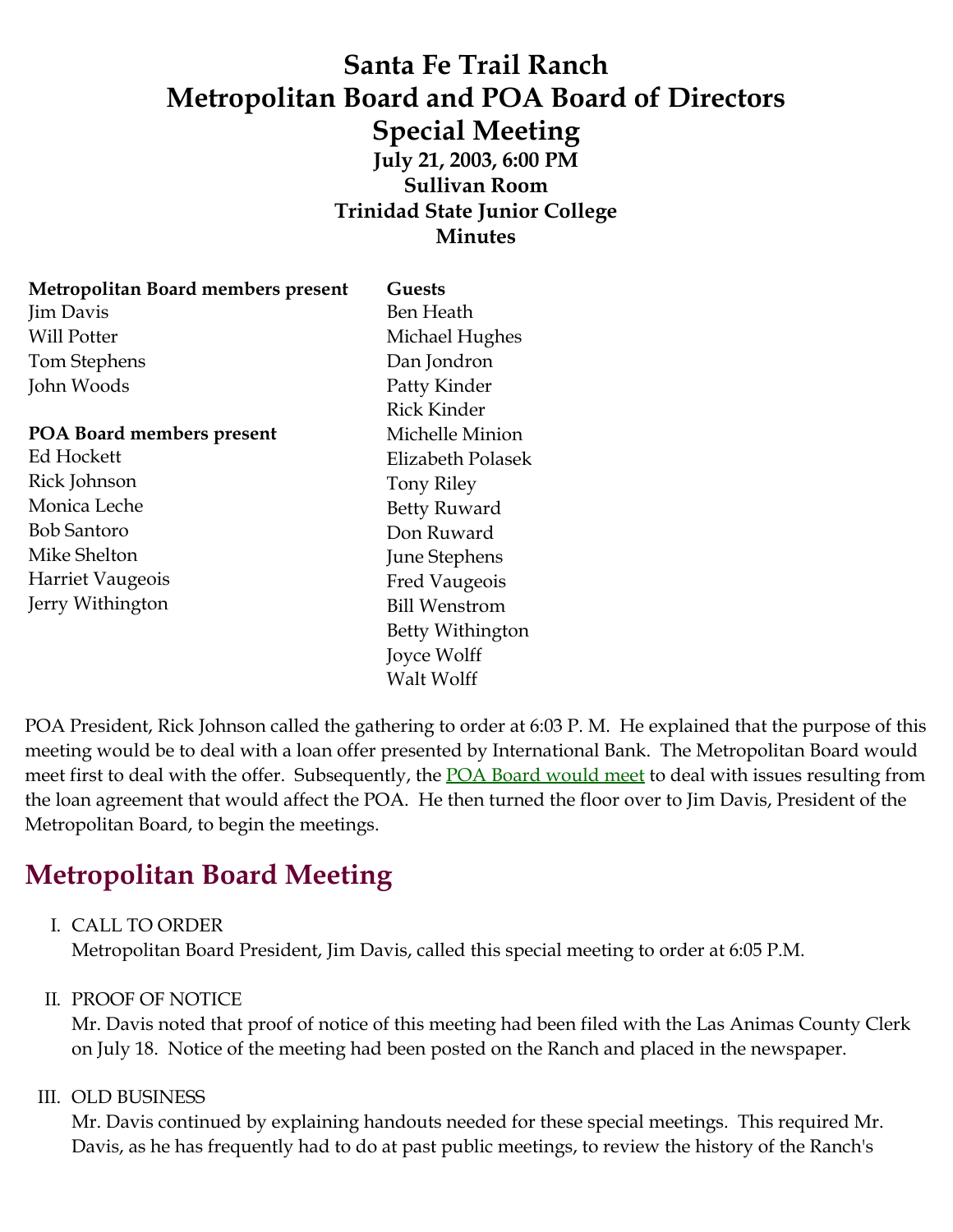## **Santa Fe Trail Ranch Metropolitan Board and POA Board of Directors Special Meeting July 21, 2003, 6:00 PM Sullivan Room Trinidad State Junior College Minutes**

| Metropolitan Board members present | Guests               |
|------------------------------------|----------------------|
| Jim Davis                          | Ben Heath            |
| Will Potter                        | Michael Hughes       |
| Tom Stephens                       | Dan Jondron          |
| John Woods                         | Patty Kinder         |
|                                    | Rick Kinder          |
| POA Board members present          | Michelle Minion      |
| Ed Hockett                         | Elizabeth Polasek    |
| Rick Johnson                       | <b>Tony Riley</b>    |
| Monica Leche                       | <b>Betty Ruward</b>  |
| <b>Bob Santoro</b>                 | Don Ruward           |
| Mike Shelton                       | <b>June Stephens</b> |
| <b>Harriet Vaugeois</b>            | <b>Fred Vaugeois</b> |
| Jerry Withington                   | <b>Bill Wenstrom</b> |
|                                    | Betty Withington     |
|                                    | Joyce Wolff          |

POA President, Rick Johnson called the gathering to order at 6:03 P. M. He explained that the purpose of this meeting would be to deal with a loan offer presented by International Bank. The Metropolitan Board would meet first to deal with the offer. Subsequently, the **POA Board would meet** to deal with issues resulting from the loan agreement that would affect the POA. He then turned the floor over to Jim Davis, President of the Metropolitan Board, to begin the meetings.

# **Metropolitan Board Meeting**

### I. CALL TO ORDER

Metropolitan Board President, Jim Davis, called this special meeting to order at 6:05 P.M.

Walt Wolff

### II. PROOF OF NOTICE

Mr. Davis noted that proof of notice of this meeting had been filed with the Las Animas County Clerk on July 18. Notice of the meeting had been posted on the Ranch and placed in the newspaper.

#### III. OLD BUSINESS

Mr. Davis continued by explaining handouts needed for these special meetings. This required Mr. Davis, as he has frequently had to do at past public meetings, to review the history of the Ranch's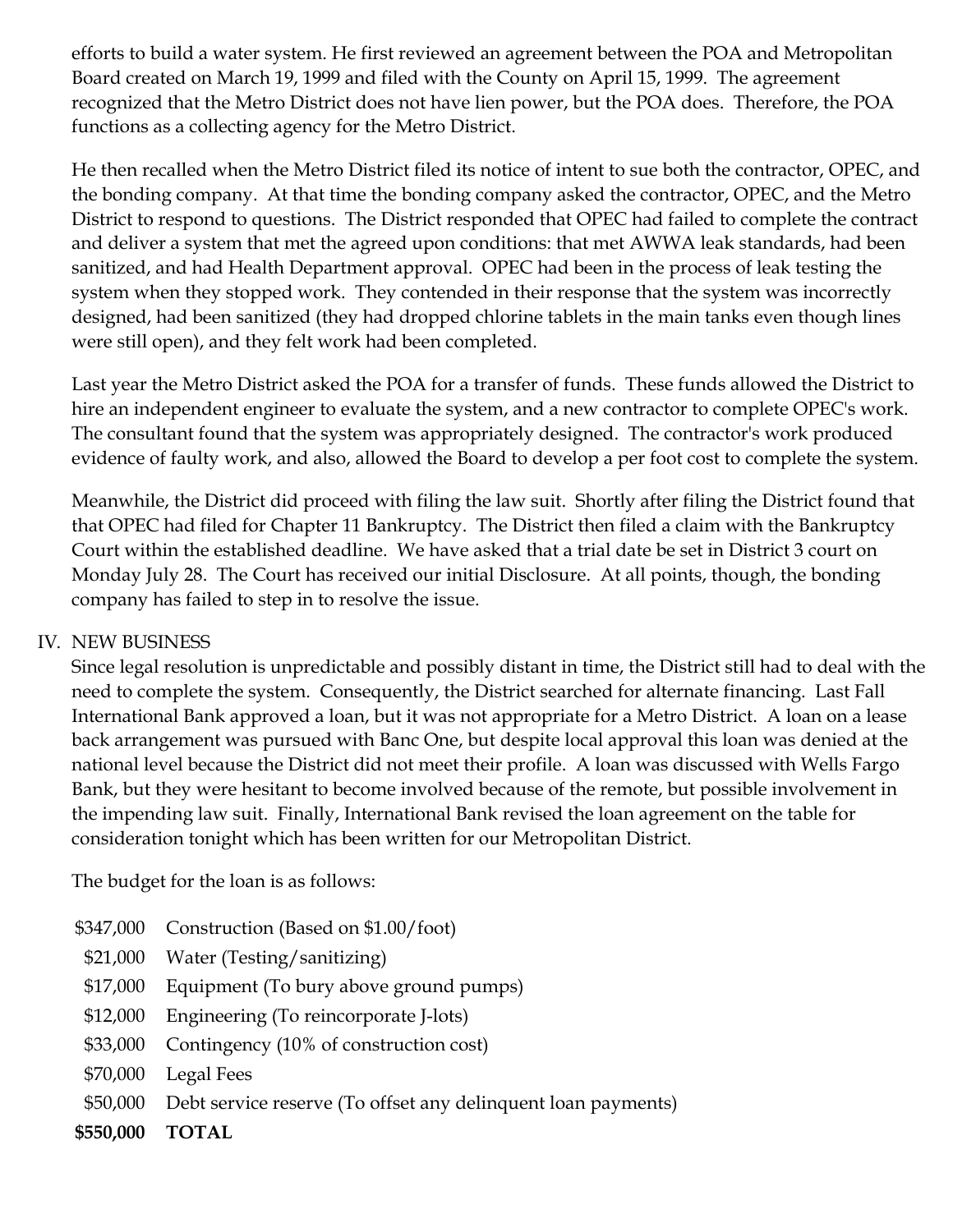efforts to build a water system. He first reviewed an agreement between the POA and Metropolitan Board created on March 19, 1999 and filed with the County on April 15, 1999. The agreement recognized that the Metro District does not have lien power, but the POA does. Therefore, the POA functions as a collecting agency for the Metro District.

He then recalled when the Metro District filed its notice of intent to sue both the contractor, OPEC, and the bonding company. At that time the bonding company asked the contractor, OPEC, and the Metro District to respond to questions. The District responded that OPEC had failed to complete the contract and deliver a system that met the agreed upon conditions: that met AWWA leak standards, had been sanitized, and had Health Department approval. OPEC had been in the process of leak testing the system when they stopped work. They contended in their response that the system was incorrectly designed, had been sanitized (they had dropped chlorine tablets in the main tanks even though lines were still open), and they felt work had been completed.

Last year the Metro District asked the POA for a transfer of funds. These funds allowed the District to hire an independent engineer to evaluate the system, and a new contractor to complete OPEC's work. The consultant found that the system was appropriately designed. The contractor's work produced evidence of faulty work, and also, allowed the Board to develop a per foot cost to complete the system.

Meanwhile, the District did proceed with filing the law suit. Shortly after filing the District found that that OPEC had filed for Chapter 11 Bankruptcy. The District then filed a claim with the Bankruptcy Court within the established deadline. We have asked that a trial date be set in District 3 court on Monday July 28. The Court has received our initial Disclosure. At all points, though, the bonding company has failed to step in to resolve the issue.

### IV. NEW BUSINESS

Since legal resolution is unpredictable and possibly distant in time, the District still had to deal with the need to complete the system. Consequently, the District searched for alternate financing. Last Fall International Bank approved a loan, but it was not appropriate for a Metro District. A loan on a lease back arrangement was pursued with Banc One, but despite local approval this loan was denied at the national level because the District did not meet their profile. A loan was discussed with Wells Fargo Bank, but they were hesitant to become involved because of the remote, but possible involvement in the impending law suit. Finally, International Bank revised the loan agreement on the table for consideration tonight which has been written for our Metropolitan District.

The budget for the loan is as follows:

- \$347,000 Construction (Based on \$1.00/foot)
- \$21,000 Water (Testing/sanitizing)
- \$17,000 Equipment (To bury above ground pumps)
- \$12,000 Engineering (To reincorporate J-lots)
- \$33,000 Contingency (10% of construction cost)
- \$70,000 Legal Fees
- \$50,000 Debt service reserve (To offset any delinquent loan payments)
- **\$550,000 TOTAL**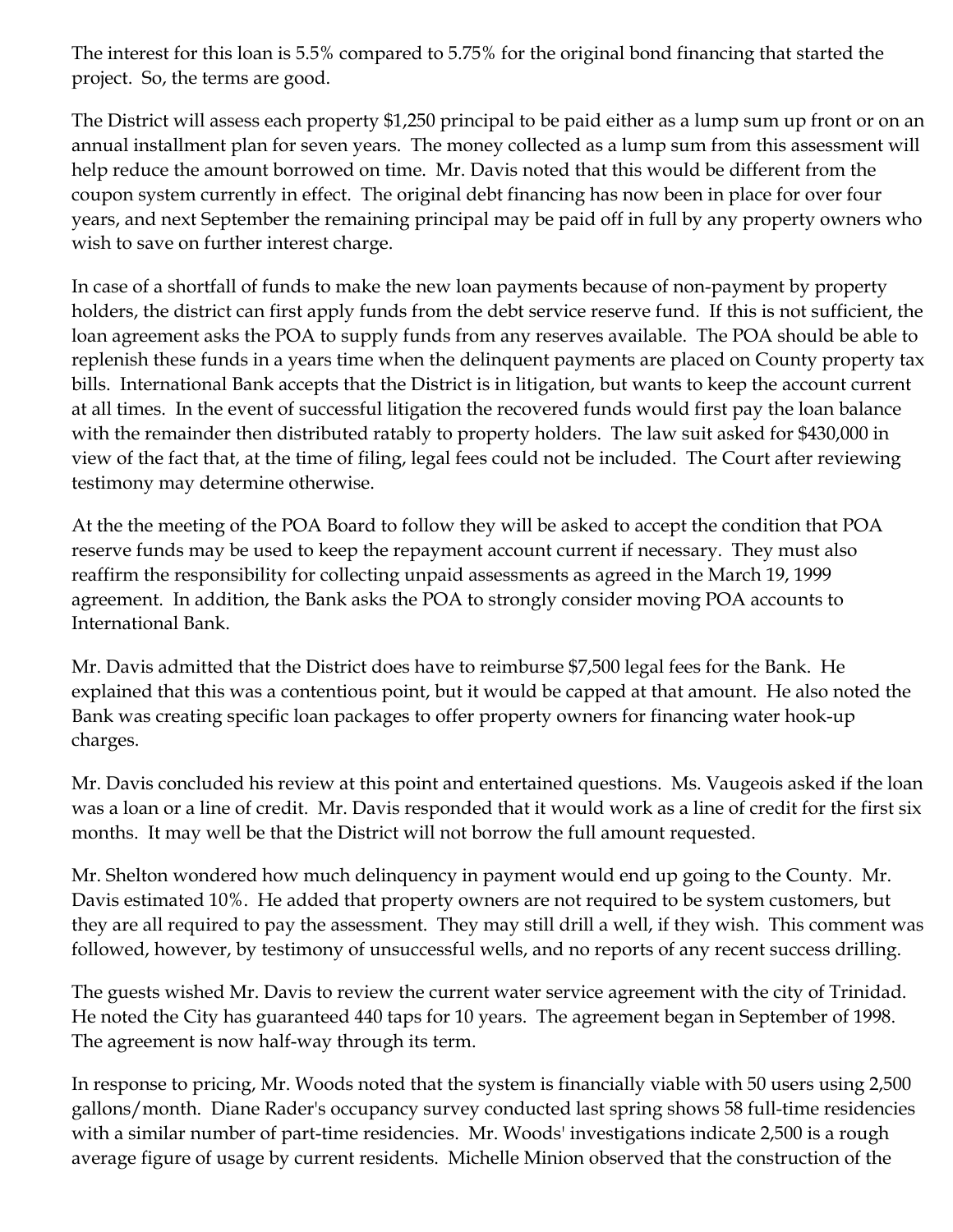The interest for this loan is 5.5% compared to 5.75% for the original bond financing that started the project. So, the terms are good.

The District will assess each property \$1,250 principal to be paid either as a lump sum up front or on an annual installment plan for seven years. The money collected as a lump sum from this assessment will help reduce the amount borrowed on time. Mr. Davis noted that this would be different from the coupon system currently in effect. The original debt financing has now been in place for over four years, and next September the remaining principal may be paid off in full by any property owners who wish to save on further interest charge.

In case of a shortfall of funds to make the new loan payments because of non-payment by property holders, the district can first apply funds from the debt service reserve fund. If this is not sufficient, the loan agreement asks the POA to supply funds from any reserves available. The POA should be able to replenish these funds in a years time when the delinquent payments are placed on County property tax bills. International Bank accepts that the District is in litigation, but wants to keep the account current at all times. In the event of successful litigation the recovered funds would first pay the loan balance with the remainder then distributed ratably to property holders. The law suit asked for \$430,000 in view of the fact that, at the time of filing, legal fees could not be included. The Court after reviewing testimony may determine otherwise.

At the the meeting of the POA Board to follow they will be asked to accept the condition that POA reserve funds may be used to keep the repayment account current if necessary. They must also reaffirm the responsibility for collecting unpaid assessments as agreed in the March 19, 1999 agreement. In addition, the Bank asks the POA to strongly consider moving POA accounts to International Bank.

Mr. Davis admitted that the District does have to reimburse \$7,500 legal fees for the Bank. He explained that this was a contentious point, but it would be capped at that amount. He also noted the Bank was creating specific loan packages to offer property owners for financing water hook-up charges.

Mr. Davis concluded his review at this point and entertained questions. Ms. Vaugeois asked if the loan was a loan or a line of credit. Mr. Davis responded that it would work as a line of credit for the first six months. It may well be that the District will not borrow the full amount requested.

Mr. Shelton wondered how much delinquency in payment would end up going to the County. Mr. Davis estimated 10%. He added that property owners are not required to be system customers, but they are all required to pay the assessment. They may still drill a well, if they wish. This comment was followed, however, by testimony of unsuccessful wells, and no reports of any recent success drilling.

The guests wished Mr. Davis to review the current water service agreement with the city of Trinidad. He noted the City has guaranteed 440 taps for 10 years. The agreement began in September of 1998. The agreement is now half-way through its term.

In response to pricing, Mr. Woods noted that the system is financially viable with 50 users using 2,500 gallons/month. Diane Rader's occupancy survey conducted last spring shows 58 full-time residencies with a similar number of part-time residencies. Mr. Woods' investigations indicate 2,500 is a rough average figure of usage by current residents. Michelle Minion observed that the construction of the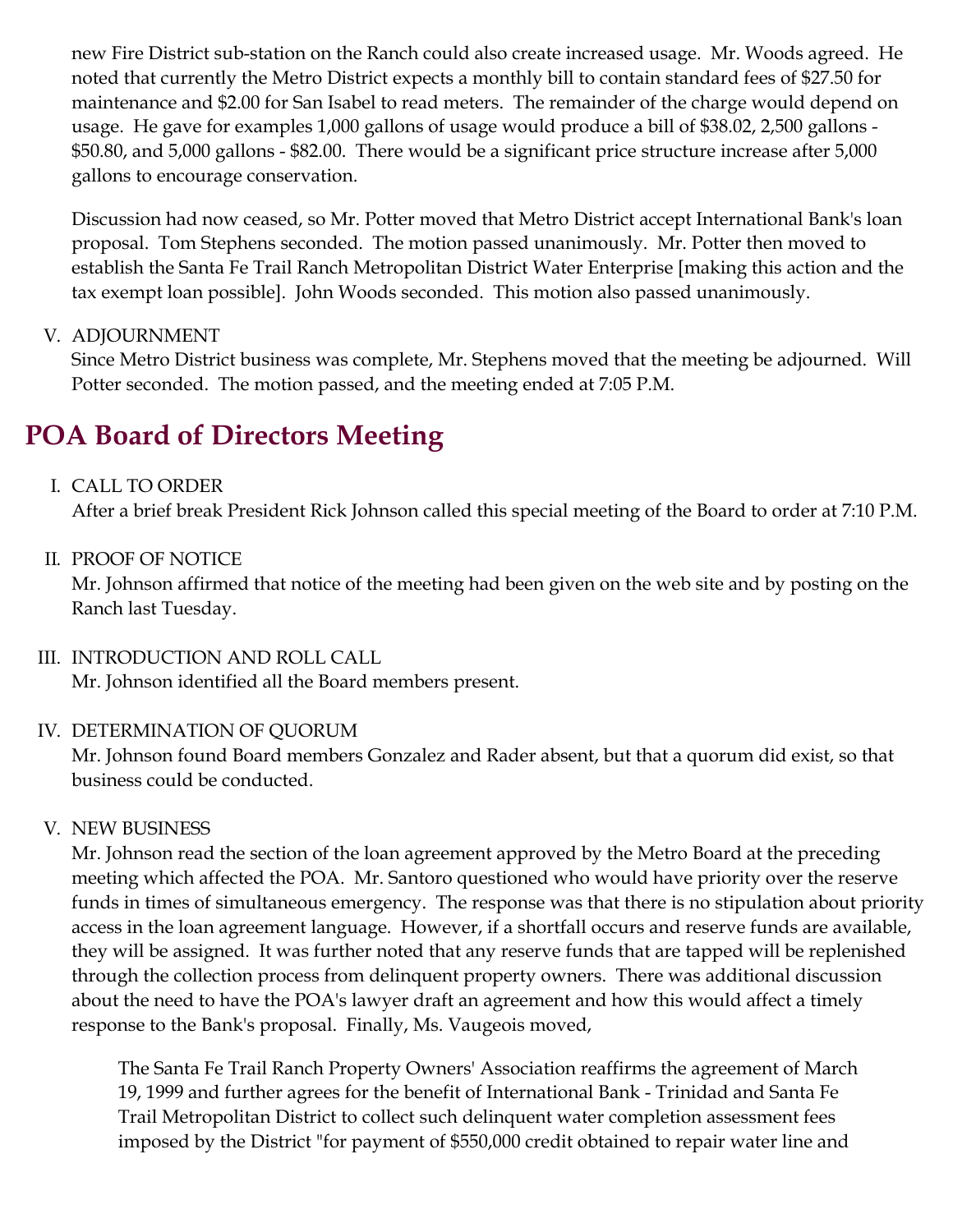new Fire District sub-station on the Ranch could also create increased usage. Mr. Woods agreed. He noted that currently the Metro District expects a monthly bill to contain standard fees of \$27.50 for maintenance and \$2.00 for San Isabel to read meters. The remainder of the charge would depend on usage. He gave for examples 1,000 gallons of usage would produce a bill of \$38.02, 2,500 gallons - \$50.80, and 5,000 gallons - \$82.00. There would be a significant price structure increase after 5,000 gallons to encourage conservation.

Discussion had now ceased, so Mr. Potter moved that Metro District accept International Bank's loan proposal. Tom Stephens seconded. The motion passed unanimously. Mr. Potter then moved to establish the Santa Fe Trail Ranch Metropolitan District Water Enterprise [making this action and the tax exempt loan possible]. John Woods seconded. This motion also passed unanimously.

### V. ADJOURNMENT

Since Metro District business was complete, Mr. Stephens moved that the meeting be adjourned. Will Potter seconded. The motion passed, and the meeting ended at 7:05 P.M.

# **POA Board of Directors Meeting**

### I. CALL TO ORDER

After a brief break President Rick Johnson called this special meeting of the Board to order at 7:10 P.M.

### II. PROOF OF NOTICE

Mr. Johnson affirmed that notice of the meeting had been given on the web site and by posting on the Ranch last Tuesday.

### III. INTRODUCTION AND ROLL CALL

Mr. Johnson identified all the Board members present.

### IV. DETERMINATION OF QUORUM

Mr. Johnson found Board members Gonzalez and Rader absent, but that a quorum did exist, so that business could be conducted.

### V. NEW BUSINESS

Mr. Johnson read the section of the loan agreement approved by the Metro Board at the preceding meeting which affected the POA. Mr. Santoro questioned who would have priority over the reserve funds in times of simultaneous emergency. The response was that there is no stipulation about priority access in the loan agreement language. However, if a shortfall occurs and reserve funds are available, they will be assigned. It was further noted that any reserve funds that are tapped will be replenished through the collection process from delinquent property owners. There was additional discussion about the need to have the POA's lawyer draft an agreement and how this would affect a timely response to the Bank's proposal. Finally, Ms. Vaugeois moved,

The Santa Fe Trail Ranch Property Owners' Association reaffirms the agreement of March 19, 1999 and further agrees for the benefit of International Bank - Trinidad and Santa Fe Trail Metropolitan District to collect such delinquent water completion assessment fees imposed by the District "for payment of \$550,000 credit obtained to repair water line and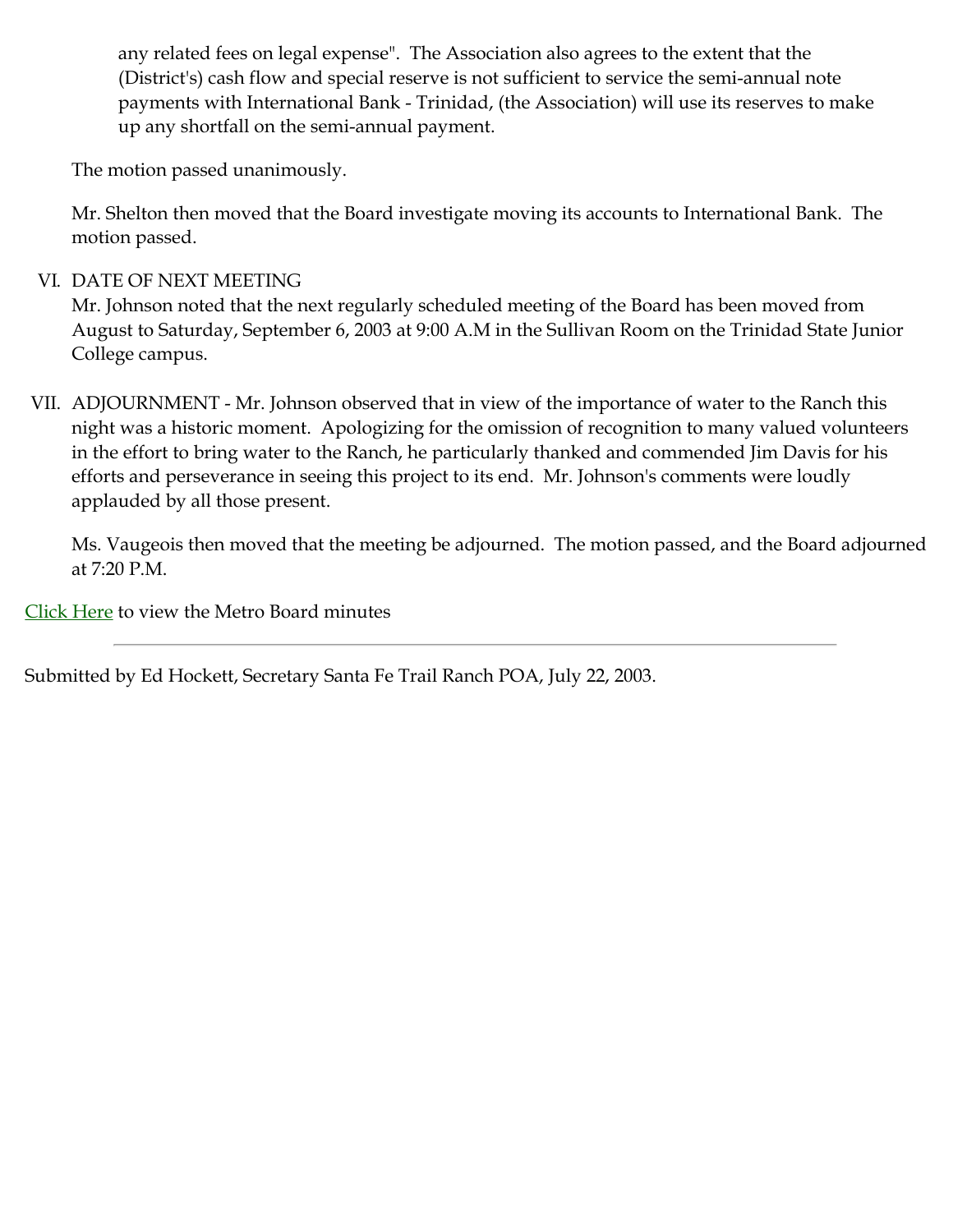any related fees on legal expense". The Association also agrees to the extent that the (District's) cash flow and special reserve is not sufficient to service the semi-annual note payments with International Bank - Trinidad, (the Association) will use its reserves to make up any shortfall on the semi-annual payment.

The motion passed unanimously.

Mr. Shelton then moved that the Board investigate moving its accounts to International Bank. The motion passed.

### VI. DATE OF NEXT MEETING

Mr. Johnson noted that the next regularly scheduled meeting of the Board has been moved from August to Saturday, September 6, 2003 at 9:00 A.M in the Sullivan Room on the Trinidad State Junior College campus.

VII. ADJOURNMENT - Mr. Johnson observed that in view of the importance of water to the Ranch this night was a historic moment. Apologizing for the omission of recognition to many valued volunteers in the effort to bring water to the Ranch, he particularly thanked and commended Jim Davis for his efforts and perseverance in seeing this project to its end. Mr. Johnson's comments were loudly applauded by all those present.

Ms. Vaugeois then moved that the meeting be adjourned. The motion passed, and the Board adjourned at 7:20 P.M.

[Click Here](http://santafetrailranch.com/minutes/view.aspx?page=Metro_03-07-21.htm#METRO) to view the Metro Board minutes

Submitted by Ed Hockett, Secretary Santa Fe Trail Ranch POA, July 22, 2003.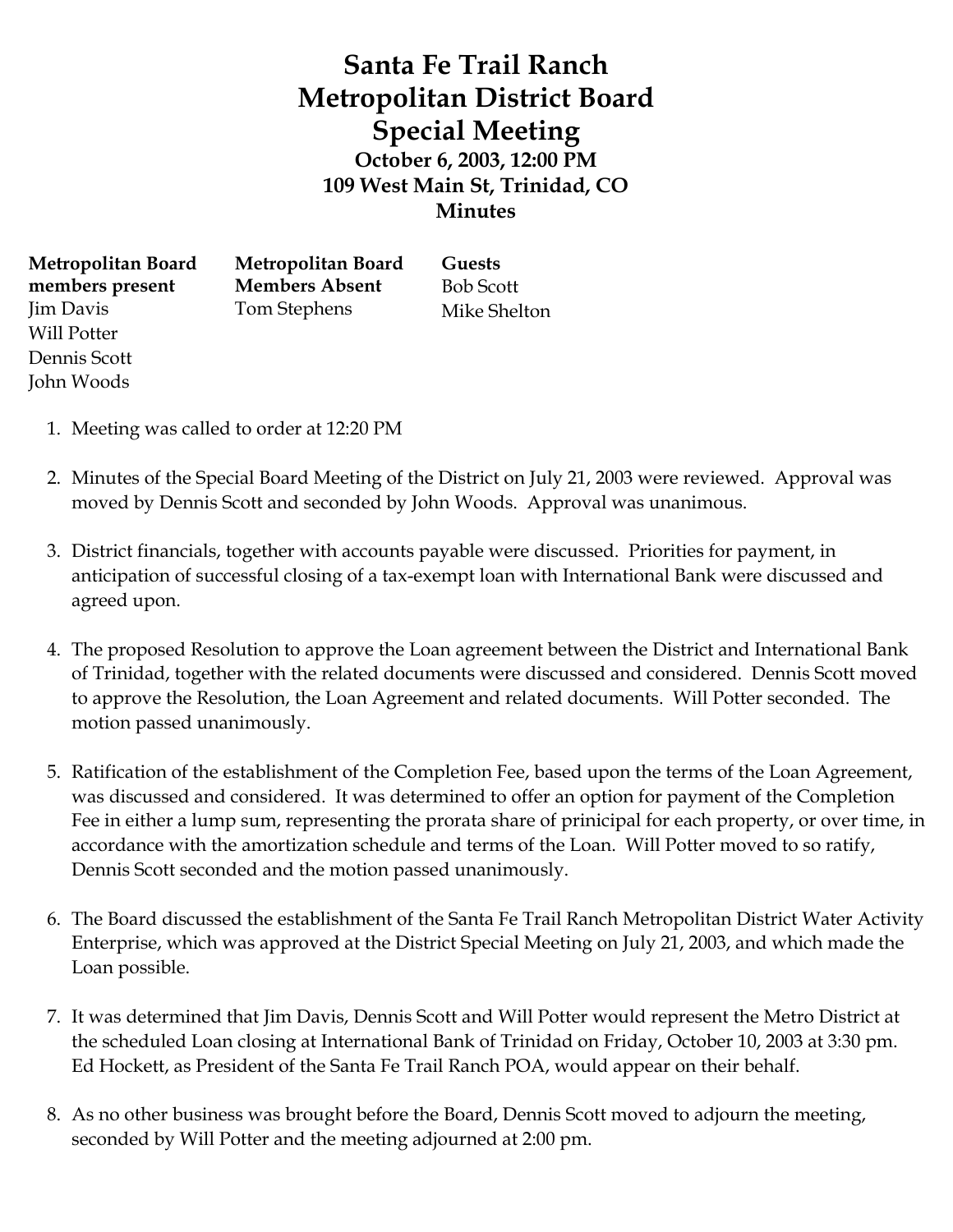# **Santa Fe Trail Ranch Metropolitan District Board Special Meeting October 6, 2003, 12:00 PM 109 West Main St, Trinidad, CO Minutes**

**Metropolitan Board members present** Jim Davis Will Potter Dennis Scott John Woods

**Metropolitan Board Members Absent** Tom Stephens

**Guests** Bob Scott Mike Shelton

- 1. Meeting was called to order at 12:20 PM
- 2. Minutes of the Special Board Meeting of the District on July 21, 2003 were reviewed. Approval was moved by Dennis Scott and seconded by John Woods. Approval was unanimous.
- 3. District financials, together with accounts payable were discussed. Priorities for payment, in anticipation of successful closing of a tax-exempt loan with International Bank were discussed and agreed upon.
- 4. The proposed Resolution to approve the Loan agreement between the District and International Bank of Trinidad, together with the related documents were discussed and considered. Dennis Scott moved to approve the Resolution, the Loan Agreement and related documents. Will Potter seconded. The motion passed unanimously.
- 5. Ratification of the establishment of the Completion Fee, based upon the terms of the Loan Agreement, was discussed and considered. It was determined to offer an option for payment of the Completion Fee in either a lump sum, representing the prorata share of prinicipal for each property, or over time, in accordance with the amortization schedule and terms of the Loan. Will Potter moved to so ratify, Dennis Scott seconded and the motion passed unanimously.
- 6. The Board discussed the establishment of the Santa Fe Trail Ranch Metropolitan District Water Activity Enterprise, which was approved at the District Special Meeting on July 21, 2003, and which made the Loan possible.
- 7. It was determined that Jim Davis, Dennis Scott and Will Potter would represent the Metro District at the scheduled Loan closing at International Bank of Trinidad on Friday, October 10, 2003 at 3:30 pm. Ed Hockett, as President of the Santa Fe Trail Ranch POA, would appear on their behalf.
- 8. As no other business was brought before the Board, Dennis Scott moved to adjourn the meeting, seconded by Will Potter and the meeting adjourned at 2:00 pm.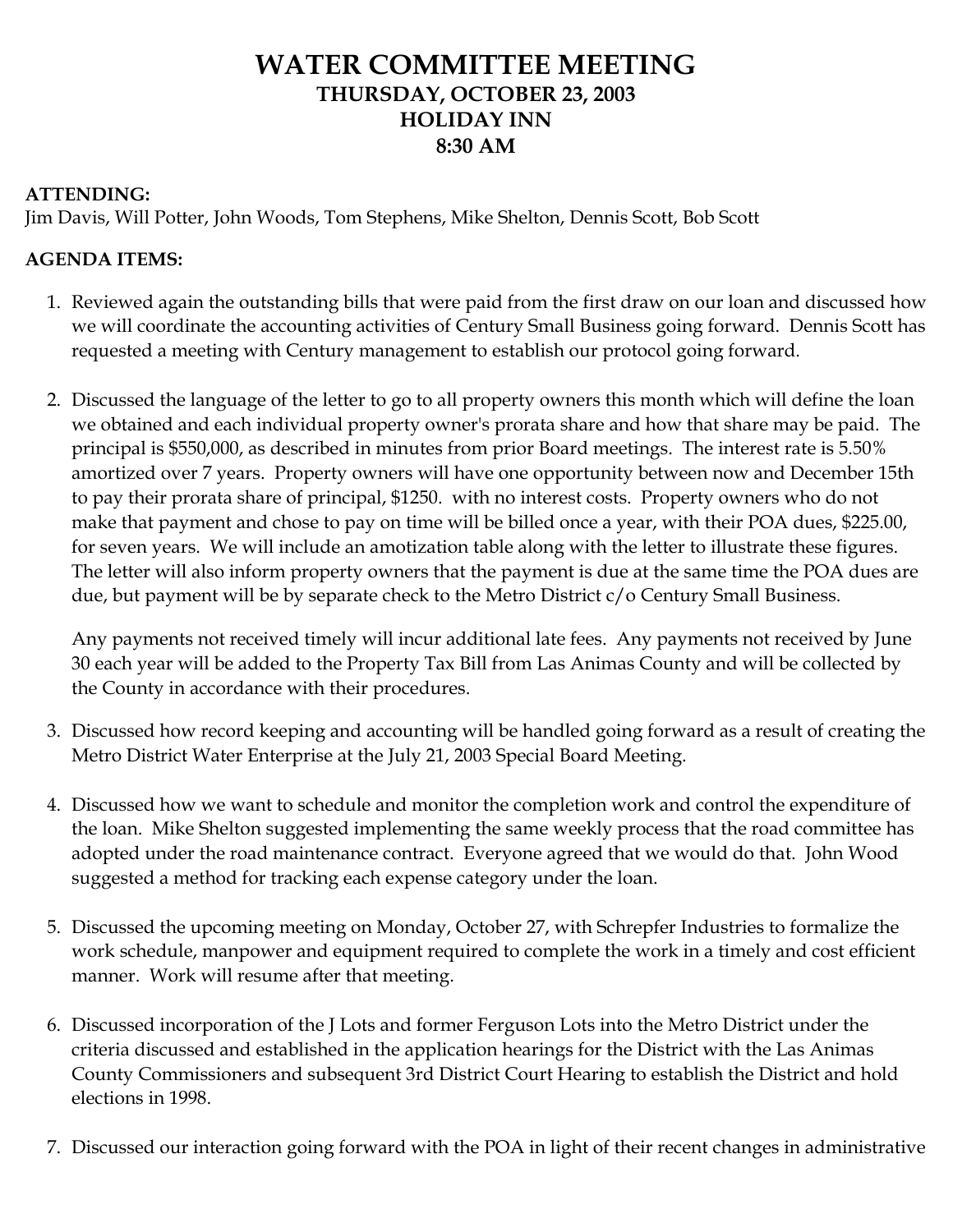### **WATER COMMITTEE MEETING THURSDAY, OCTOBER 23, 2003 HOLIDAY INN 8:30 AM**

### **ATTENDING:**

Jim Davis, Will Potter, John Woods, Tom Stephens, Mike Shelton, Dennis Scott, Bob Scott

### **AGENDA ITEMS:**

- 1. Reviewed again the outstanding bills that were paid from the first draw on our loan and discussed how we will coordinate the accounting activities of Century Small Business going forward. Dennis Scott has requested a meeting with Century management to establish our protocol going forward.
- 2. Discussed the language of the letter to go to all property owners this month which will define the loan we obtained and each individual property owner's prorata share and how that share may be paid. The principal is \$550,000, as described in minutes from prior Board meetings. The interest rate is 5.50% amortized over 7 years. Property owners will have one opportunity between now and December 15th to pay their prorata share of principal, \$1250. with no interest costs. Property owners who do not make that payment and chose to pay on time will be billed once a year, with their POA dues, \$225.00, for seven years. We will include an amotization table along with the letter to illustrate these figures. The letter will also inform property owners that the payment is due at the same time the POA dues are due, but payment will be by separate check to the Metro District c/o Century Small Business.

Any payments not received timely will incur additional late fees. Any payments not received by June 30 each year will be added to the Property Tax Bill from Las Animas County and will be collected by the County in accordance with their procedures.

- 3. Discussed how record keeping and accounting will be handled going forward as a result of creating the Metro District Water Enterprise at the July 21, 2003 Special Board Meeting.
- 4. Discussed how we want to schedule and monitor the completion work and control the expenditure of the loan. Mike Shelton suggested implementing the same weekly process that the road committee has adopted under the road maintenance contract. Everyone agreed that we would do that. John Wood suggested a method for tracking each expense category under the loan.
- 5. Discussed the upcoming meeting on Monday, October 27, with Schrepfer Industries to formalize the work schedule, manpower and equipment required to complete the work in a timely and cost efficient manner. Work will resume after that meeting.
- 6. Discussed incorporation of the J Lots and former Ferguson Lots into the Metro District under the criteria discussed and established in the application hearings for the District with the Las Animas County Commissioners and subsequent 3rd District Court Hearing to establish the District and hold elections in 1998.
- 7. Discussed our interaction going forward with the POA in light of their recent changes in administrative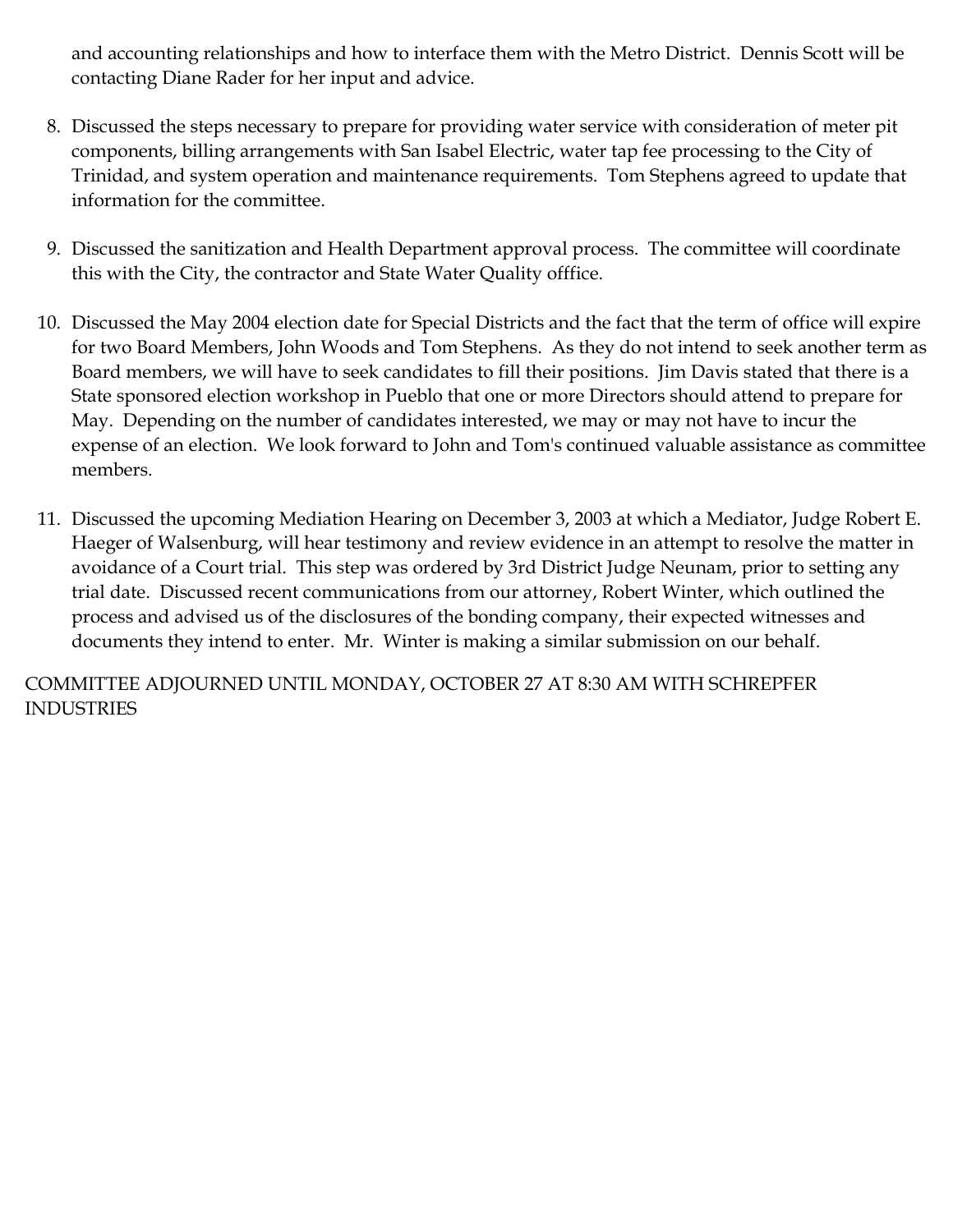and accounting relationships and how to interface them with the Metro District. Dennis Scott will be contacting Diane Rader for her input and advice.

- 8. Discussed the steps necessary to prepare for providing water service with consideration of meter pit components, billing arrangements with San Isabel Electric, water tap fee processing to the City of Trinidad, and system operation and maintenance requirements. Tom Stephens agreed to update that information for the committee.
- 9. Discussed the sanitization and Health Department approval process. The committee will coordinate this with the City, the contractor and State Water Quality offfice.
- 10. Discussed the May 2004 election date for Special Districts and the fact that the term of office will expire for two Board Members, John Woods and Tom Stephens. As they do not intend to seek another term as Board members, we will have to seek candidates to fill their positions. Jim Davis stated that there is a State sponsored election workshop in Pueblo that one or more Directors should attend to prepare for May. Depending on the number of candidates interested, we may or may not have to incur the expense of an election. We look forward to John and Tom's continued valuable assistance as committee members.
- 11. Discussed the upcoming Mediation Hearing on December 3, 2003 at which a Mediator, Judge Robert E. Haeger of Walsenburg, will hear testimony and review evidence in an attempt to resolve the matter in avoidance of a Court trial. This step was ordered by 3rd District Judge Neunam, prior to setting any trial date. Discussed recent communications from our attorney, Robert Winter, which outlined the process and advised us of the disclosures of the bonding company, their expected witnesses and documents they intend to enter. Mr. Winter is making a similar submission on our behalf.

COMMITTEE ADJOURNED UNTIL MONDAY, OCTOBER 27 AT 8:30 AM WITH SCHREPFER INDUSTRIES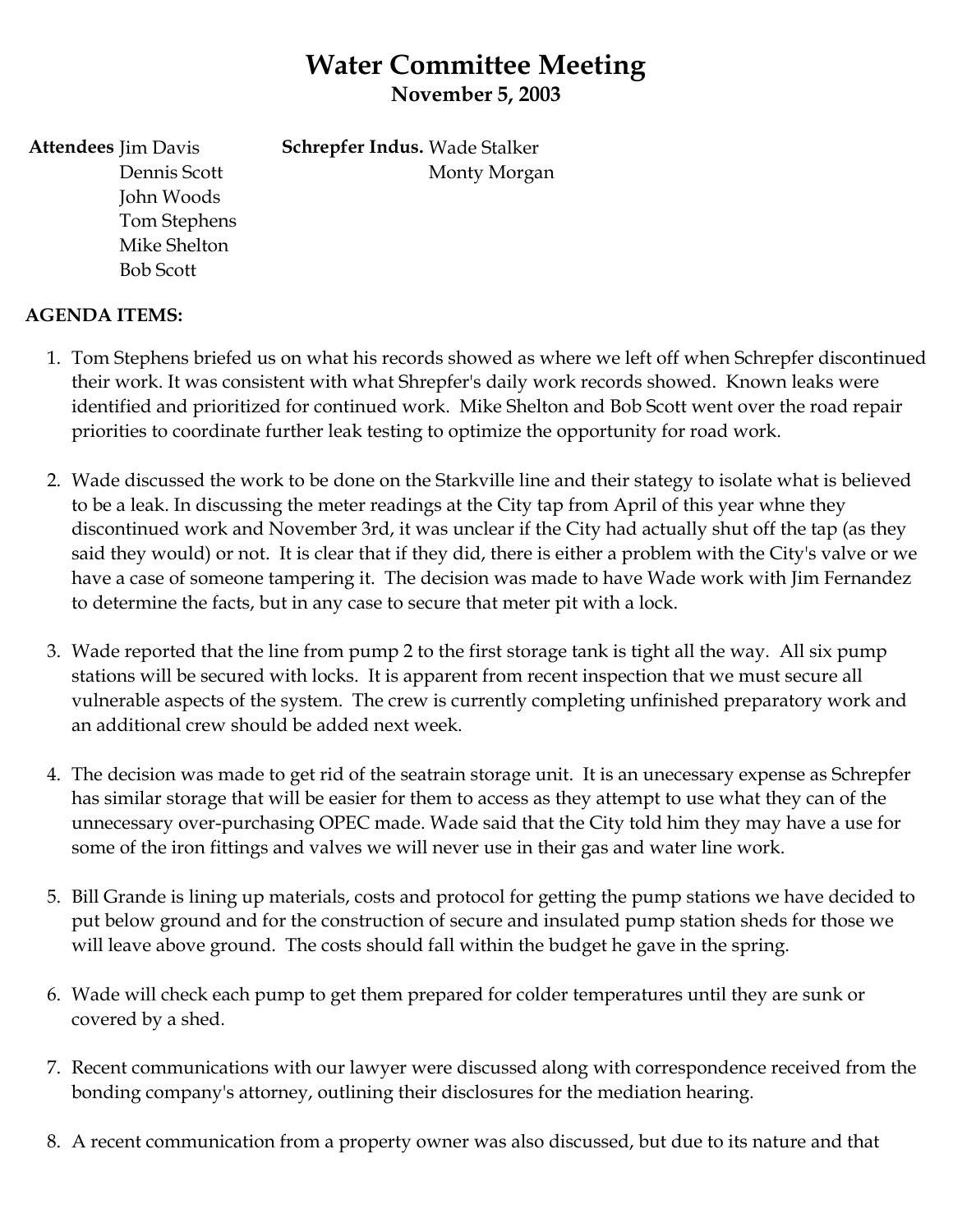### **Water Committee Meeting November 5, 2003**

Monty Morgan

**Schrepfer Indus.** Wade Stalker

**Attendees** Jim Davis Dennis Scott John Woods Tom Stephens Mike Shelton Bob Scott

### **AGENDA ITEMS:**

- 1. Tom Stephens briefed us on what his records showed as where we left off when Schrepfer discontinued their work. It was consistent with what Shrepfer's daily work records showed. Known leaks were identified and prioritized for continued work. Mike Shelton and Bob Scott went over the road repair priorities to coordinate further leak testing to optimize the opportunity for road work.
- 2. Wade discussed the work to be done on the Starkville line and their stategy to isolate what is believed to be a leak. In discussing the meter readings at the City tap from April of this year whne they discontinued work and November 3rd, it was unclear if the City had actually shut off the tap (as they said they would) or not. It is clear that if they did, there is either a problem with the City's valve or we have a case of someone tampering it. The decision was made to have Wade work with Jim Fernandez to determine the facts, but in any case to secure that meter pit with a lock.
- 3. Wade reported that the line from pump 2 to the first storage tank is tight all the way. All six pump stations will be secured with locks. It is apparent from recent inspection that we must secure all vulnerable aspects of the system. The crew is currently completing unfinished preparatory work and an additional crew should be added next week.
- 4. The decision was made to get rid of the seatrain storage unit. It is an unecessary expense as Schrepfer has similar storage that will be easier for them to access as they attempt to use what they can of the unnecessary over-purchasing OPEC made. Wade said that the City told him they may have a use for some of the iron fittings and valves we will never use in their gas and water line work.
- 5. Bill Grande is lining up materials, costs and protocol for getting the pump stations we have decided to put below ground and for the construction of secure and insulated pump station sheds for those we will leave above ground. The costs should fall within the budget he gave in the spring.
- 6. Wade will check each pump to get them prepared for colder temperatures until they are sunk or covered by a shed.
- 7. Recent communications with our lawyer were discussed along with correspondence received from the bonding company's attorney, outlining their disclosures for the mediation hearing.
- 8. A recent communication from a property owner was also discussed, but due to its nature and that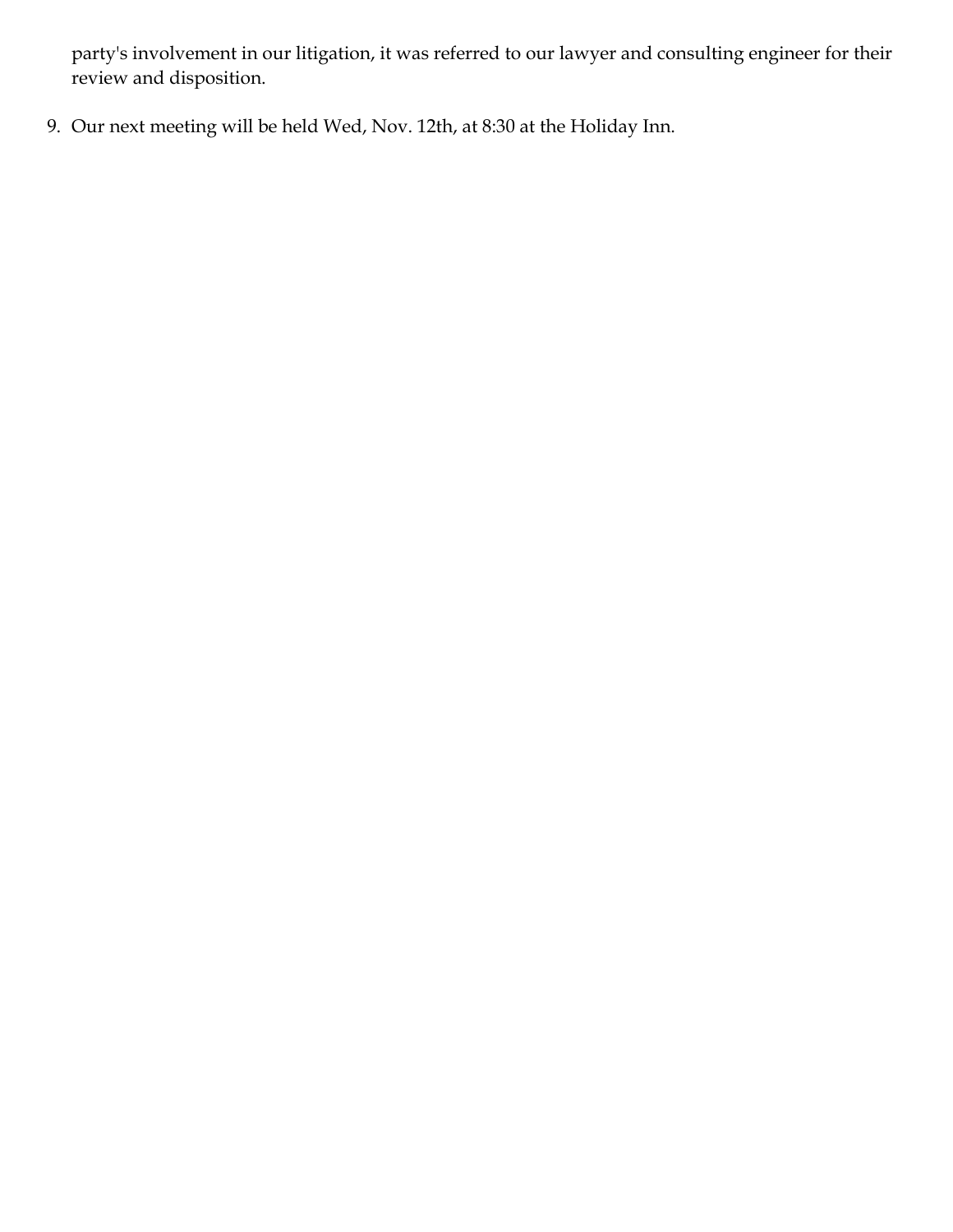party's involvement in our litigation, it was referred to our lawyer and consulting engineer for their review and disposition.

9. Our next meeting will be held Wed, Nov. 12th, at 8:30 at the Holiday Inn.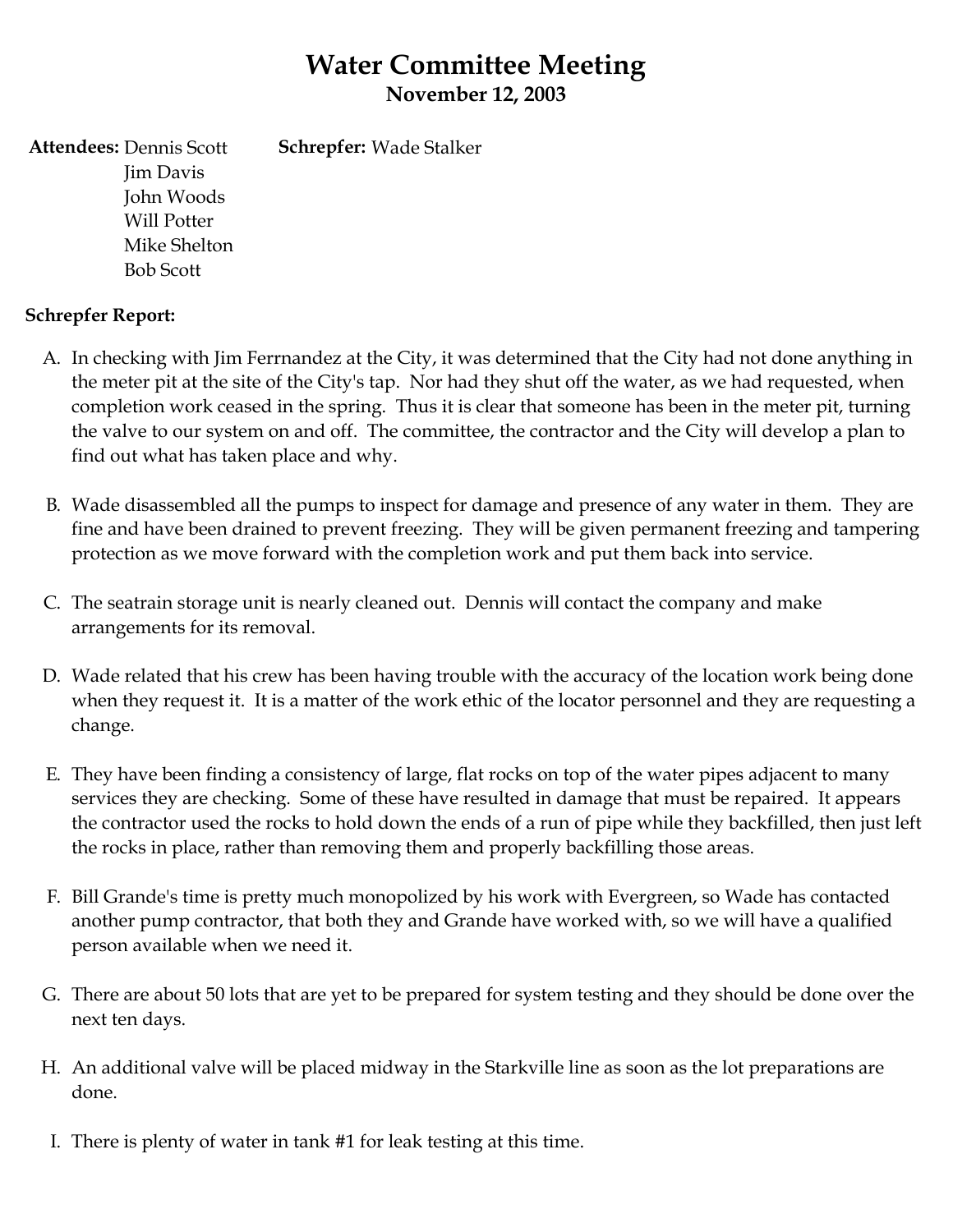### **Water Committee Meeting November 12, 2003**

**Attendees:** Dennis Scott Jim Davis John Woods Will Potter Mike Shelton Bob Scott **Schrepfer:** Wade Stalker

### **Schrepfer Report:**

- A. In checking with Jim Ferrnandez at the City, it was determined that the City had not done anything in the meter pit at the site of the City's tap. Nor had they shut off the water, as we had requested, when completion work ceased in the spring. Thus it is clear that someone has been in the meter pit, turning the valve to our system on and off. The committee, the contractor and the City will develop a plan to find out what has taken place and why.
- B. Wade disassembled all the pumps to inspect for damage and presence of any water in them. They are fine and have been drained to prevent freezing. They will be given permanent freezing and tampering protection as we move forward with the completion work and put them back into service.
- C. The seatrain storage unit is nearly cleaned out. Dennis will contact the company and make arrangements for its removal.
- D. Wade related that his crew has been having trouble with the accuracy of the location work being done when they request it. It is a matter of the work ethic of the locator personnel and they are requesting a change.
- E. They have been finding a consistency of large, flat rocks on top of the water pipes adjacent to many services they are checking. Some of these have resulted in damage that must be repaired. It appears the contractor used the rocks to hold down the ends of a run of pipe while they backfilled, then just left the rocks in place, rather than removing them and properly backfilling those areas.
- F. Bill Grande's time is pretty much monopolized by his work with Evergreen, so Wade has contacted another pump contractor, that both they and Grande have worked with, so we will have a qualified person available when we need it.
- G. There are about 50 lots that are yet to be prepared for system testing and they should be done over the next ten days.
- H. An additional valve will be placed midway in the Starkville line as soon as the lot preparations are done.
- I. There is plenty of water in tank #1 for leak testing at this time.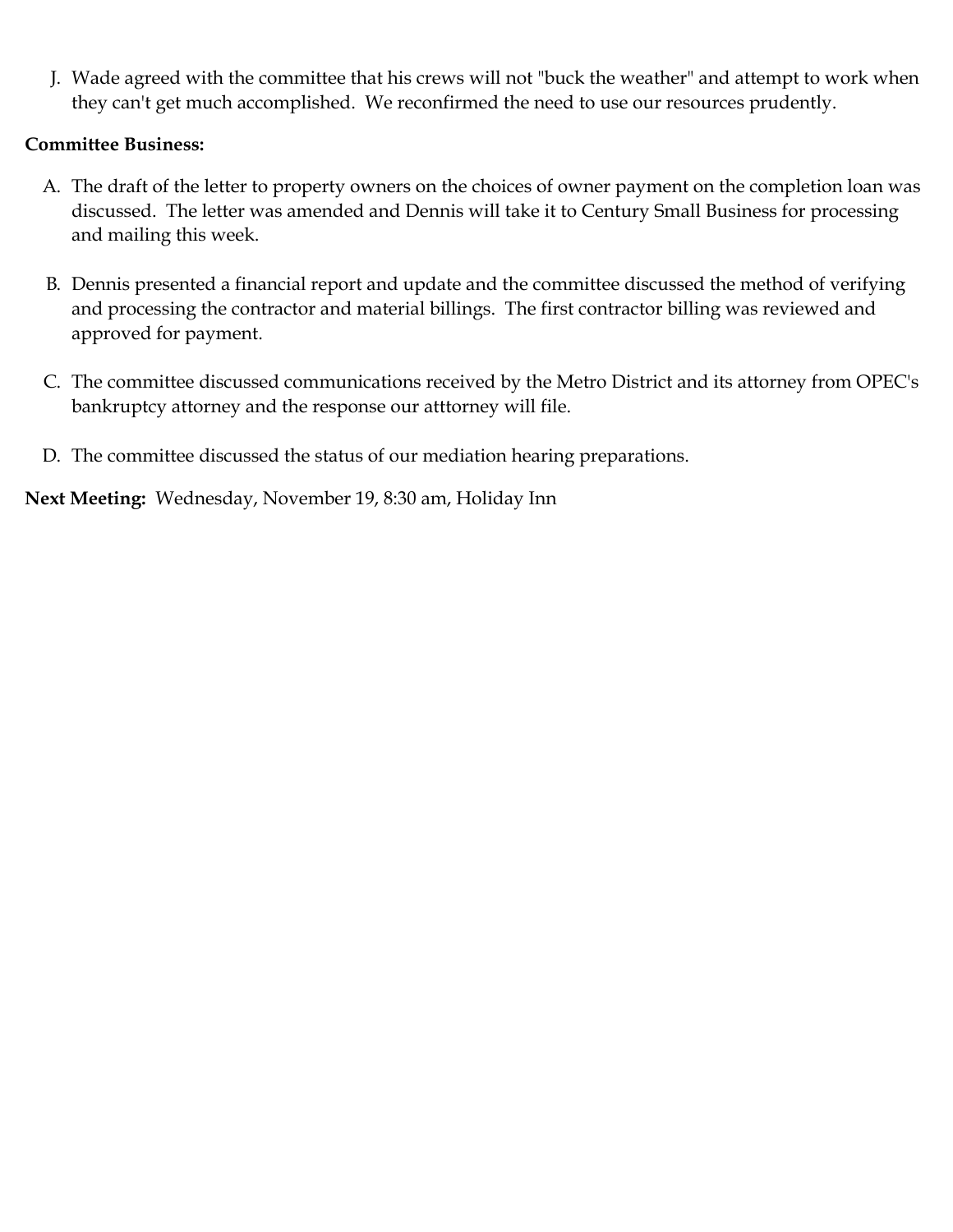J. Wade agreed with the committee that his crews will not "buck the weather" and attempt to work when they can't get much accomplished. We reconfirmed the need to use our resources prudently.

#### **Committee Business:**

- A. The draft of the letter to property owners on the choices of owner payment on the completion loan was discussed. The letter was amended and Dennis will take it to Century Small Business for processing and mailing this week.
- B. Dennis presented a financial report and update and the committee discussed the method of verifying and processing the contractor and material billings. The first contractor billing was reviewed and approved for payment.
- C. The committee discussed communications received by the Metro District and its attorney from OPEC's bankruptcy attorney and the response our atttorney will file.
- D. The committee discussed the status of our mediation hearing preparations.

**Next Meeting:** Wednesday, November 19, 8:30 am, Holiday Inn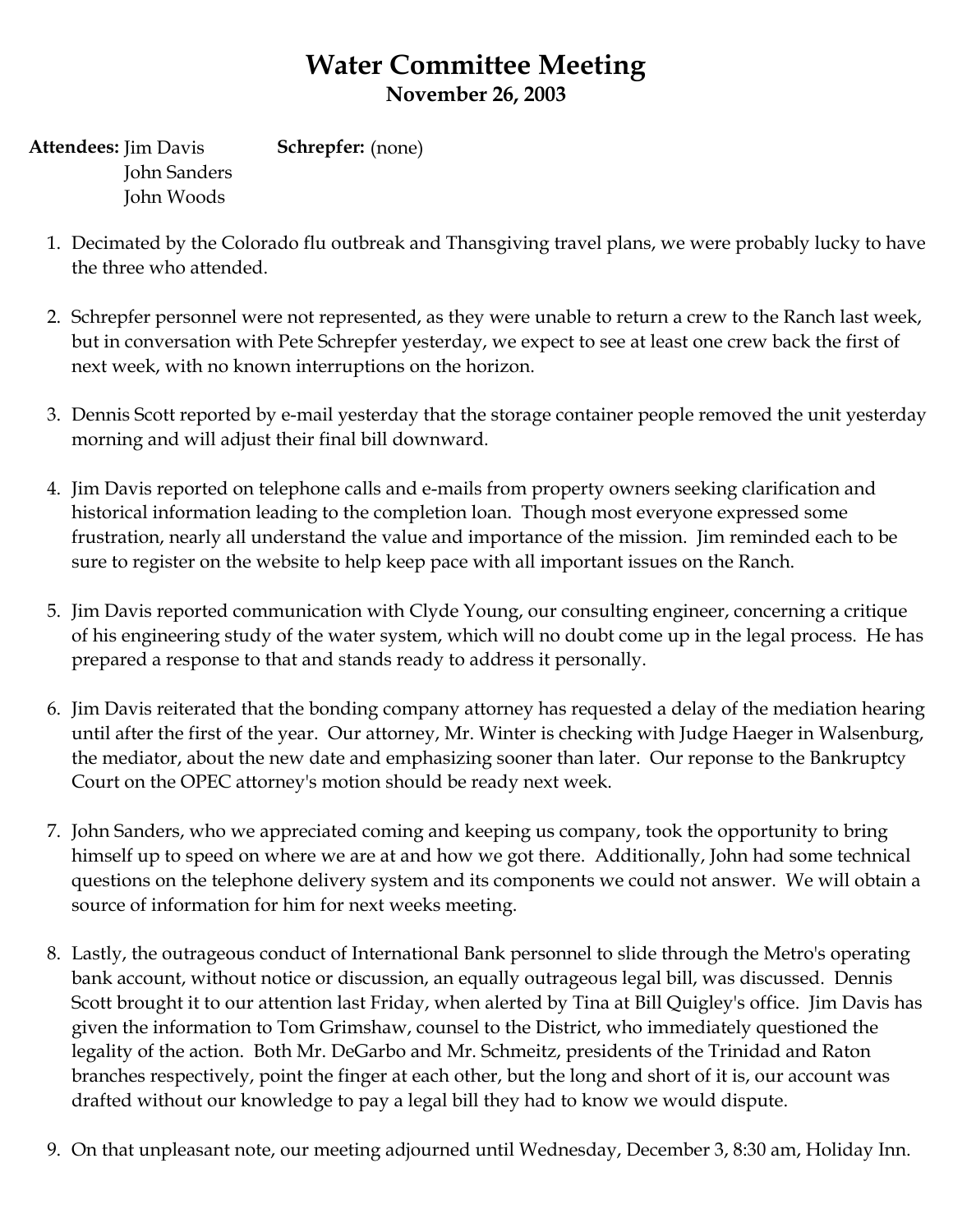# **Water Committee Meeting November 26, 2003**

**Attendees:** Jim Davis John Sanders John Woods **Schrepfer:** (none)

- 1. Decimated by the Colorado flu outbreak and Thansgiving travel plans, we were probably lucky to have the three who attended.
- 2. Schrepfer personnel were not represented, as they were unable to return a crew to the Ranch last week, but in conversation with Pete Schrepfer yesterday, we expect to see at least one crew back the first of next week, with no known interruptions on the horizon.
- 3. Dennis Scott reported by e-mail yesterday that the storage container people removed the unit yesterday morning and will adjust their final bill downward.
- 4. Jim Davis reported on telephone calls and e-mails from property owners seeking clarification and historical information leading to the completion loan. Though most everyone expressed some frustration, nearly all understand the value and importance of the mission. Jim reminded each to be sure to register on the website to help keep pace with all important issues on the Ranch.
- 5. Jim Davis reported communication with Clyde Young, our consulting engineer, concerning a critique of his engineering study of the water system, which will no doubt come up in the legal process. He has prepared a response to that and stands ready to address it personally.
- 6. Jim Davis reiterated that the bonding company attorney has requested a delay of the mediation hearing until after the first of the year. Our attorney, Mr. Winter is checking with Judge Haeger in Walsenburg, the mediator, about the new date and emphasizing sooner than later. Our reponse to the Bankruptcy Court on the OPEC attorney's motion should be ready next week.
- 7. John Sanders, who we appreciated coming and keeping us company, took the opportunity to bring himself up to speed on where we are at and how we got there. Additionally, John had some technical questions on the telephone delivery system and its components we could not answer. We will obtain a source of information for him for next weeks meeting.
- 8. Lastly, the outrageous conduct of International Bank personnel to slide through the Metro's operating bank account, without notice or discussion, an equally outrageous legal bill, was discussed. Dennis Scott brought it to our attention last Friday, when alerted by Tina at Bill Quigley's office. Jim Davis has given the information to Tom Grimshaw, counsel to the District, who immediately questioned the legality of the action. Both Mr. DeGarbo and Mr. Schmeitz, presidents of the Trinidad and Raton branches respectively, point the finger at each other, but the long and short of it is, our account was drafted without our knowledge to pay a legal bill they had to know we would dispute.
- 9. On that unpleasant note, our meeting adjourned until Wednesday, December 3, 8:30 am, Holiday Inn.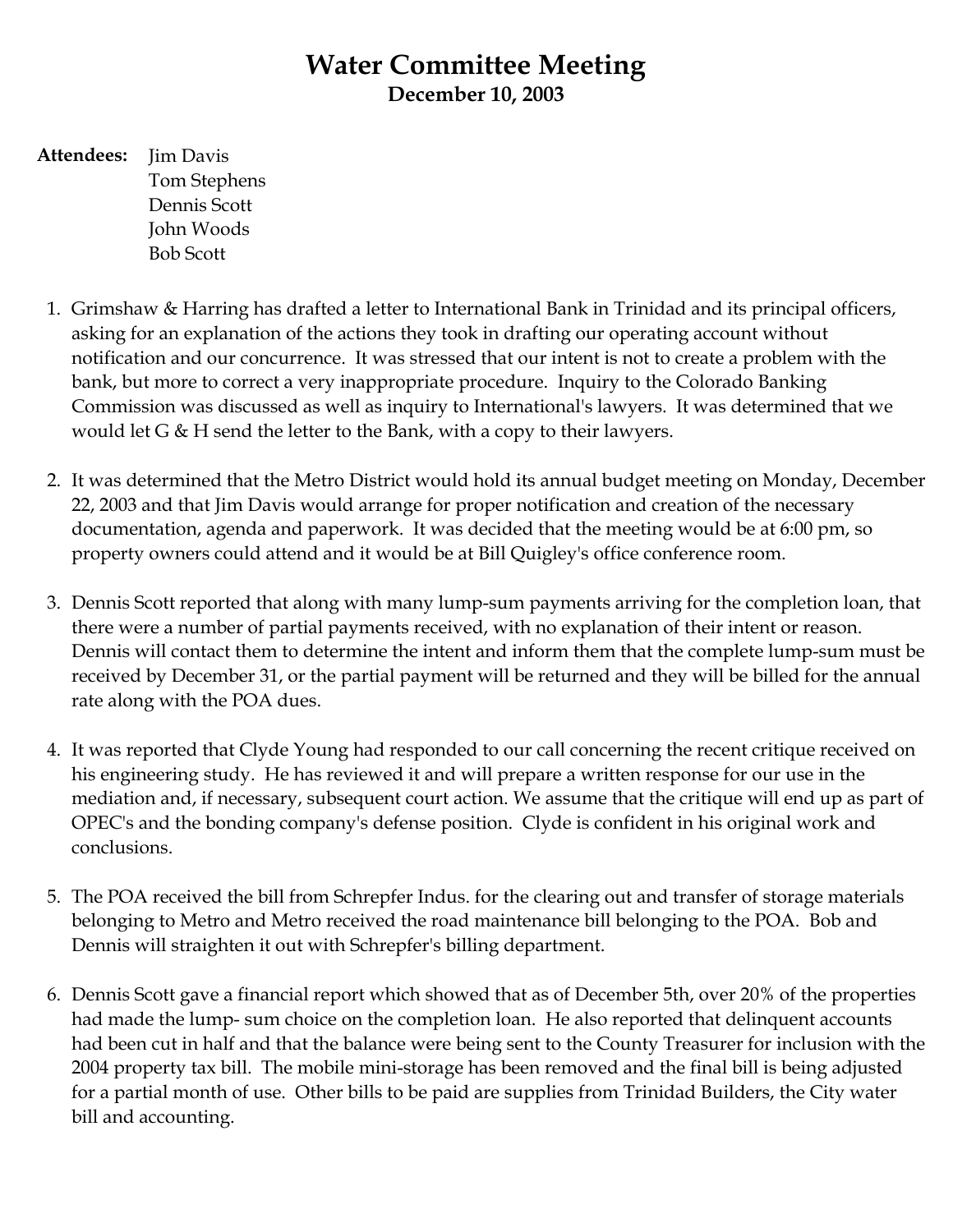### **Water Committee Meeting December 10, 2003**

**Attendees:** Jim Davis Tom Stephens Dennis Scott John Woods Bob Scott

- 1. Grimshaw & Harring has drafted a letter to International Bank in Trinidad and its principal officers, asking for an explanation of the actions they took in drafting our operating account without notification and our concurrence. It was stressed that our intent is not to create a problem with the bank, but more to correct a very inappropriate procedure. Inquiry to the Colorado Banking Commission was discussed as well as inquiry to International's lawyers. It was determined that we would let G & H send the letter to the Bank, with a copy to their lawyers.
- 2. It was determined that the Metro District would hold its annual budget meeting on Monday, December 22, 2003 and that Jim Davis would arrange for proper notification and creation of the necessary documentation, agenda and paperwork. It was decided that the meeting would be at 6:00 pm, so property owners could attend and it would be at Bill Quigley's office conference room.
- 3. Dennis Scott reported that along with many lump-sum payments arriving for the completion loan, that there were a number of partial payments received, with no explanation of their intent or reason. Dennis will contact them to determine the intent and inform them that the complete lump-sum must be received by December 31, or the partial payment will be returned and they will be billed for the annual rate along with the POA dues.
- 4. It was reported that Clyde Young had responded to our call concerning the recent critique received on his engineering study. He has reviewed it and will prepare a written response for our use in the mediation and, if necessary, subsequent court action. We assume that the critique will end up as part of OPEC's and the bonding company's defense position. Clyde is confident in his original work and conclusions.
- 5. The POA received the bill from Schrepfer Indus. for the clearing out and transfer of storage materials belonging to Metro and Metro received the road maintenance bill belonging to the POA. Bob and Dennis will straighten it out with Schrepfer's billing department.
- 6. Dennis Scott gave a financial report which showed that as of December 5th, over 20% of the properties had made the lump- sum choice on the completion loan. He also reported that delinquent accounts had been cut in half and that the balance were being sent to the County Treasurer for inclusion with the 2004 property tax bill. The mobile mini-storage has been removed and the final bill is being adjusted for a partial month of use. Other bills to be paid are supplies from Trinidad Builders, the City water bill and accounting.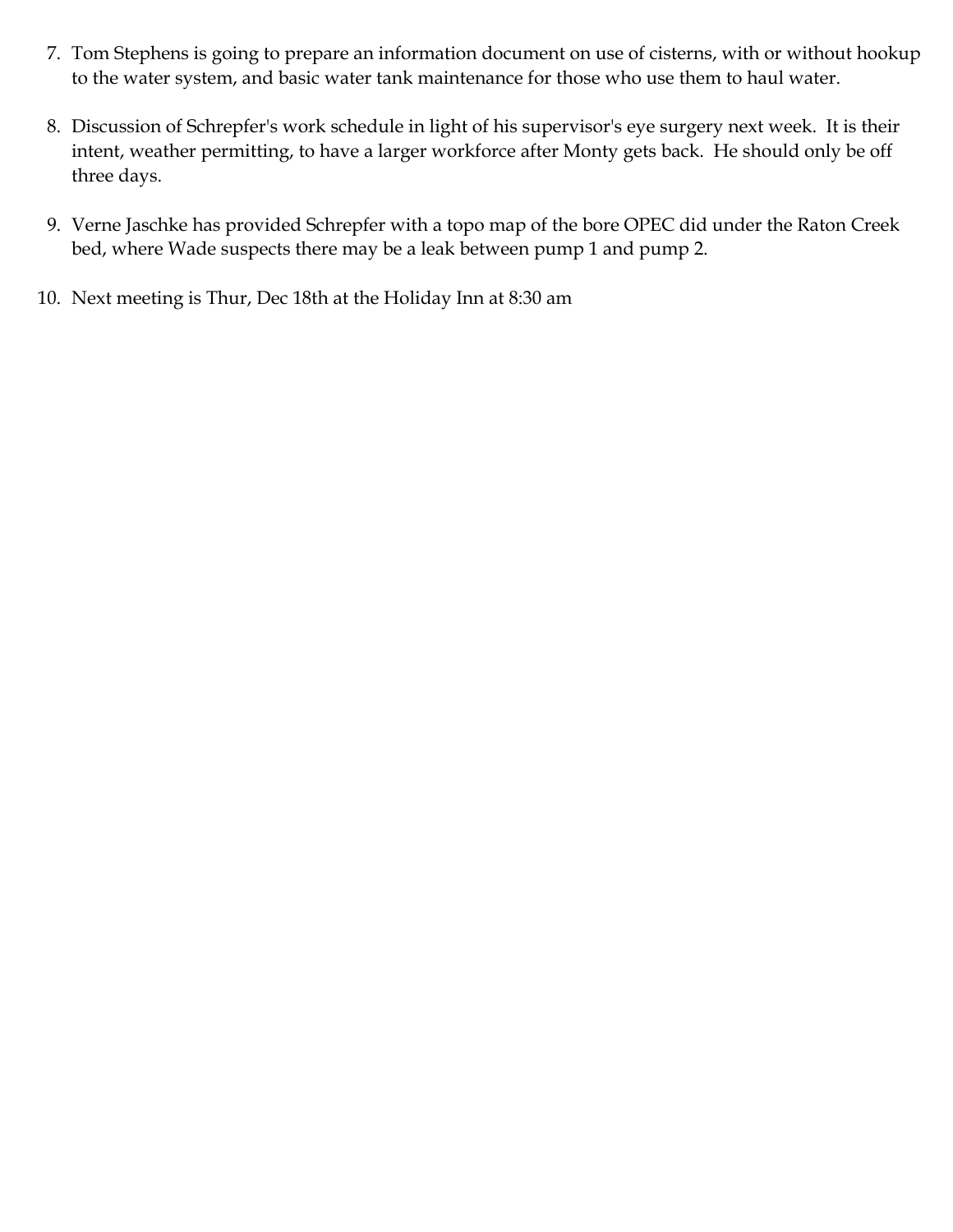- 7. Tom Stephens is going to prepare an information document on use of cisterns, with or without hookup to the water system, and basic water tank maintenance for those who use them to haul water.
- 8. Discussion of Schrepfer's work schedule in light of his supervisor's eye surgery next week. It is their intent, weather permitting, to have a larger workforce after Monty gets back. He should only be off three days.
- 9. Verne Jaschke has provided Schrepfer with a topo map of the bore OPEC did under the Raton Creek bed, where Wade suspects there may be a leak between pump 1 and pump 2.
- 10. Next meeting is Thur, Dec 18th at the Holiday Inn at 8:30 am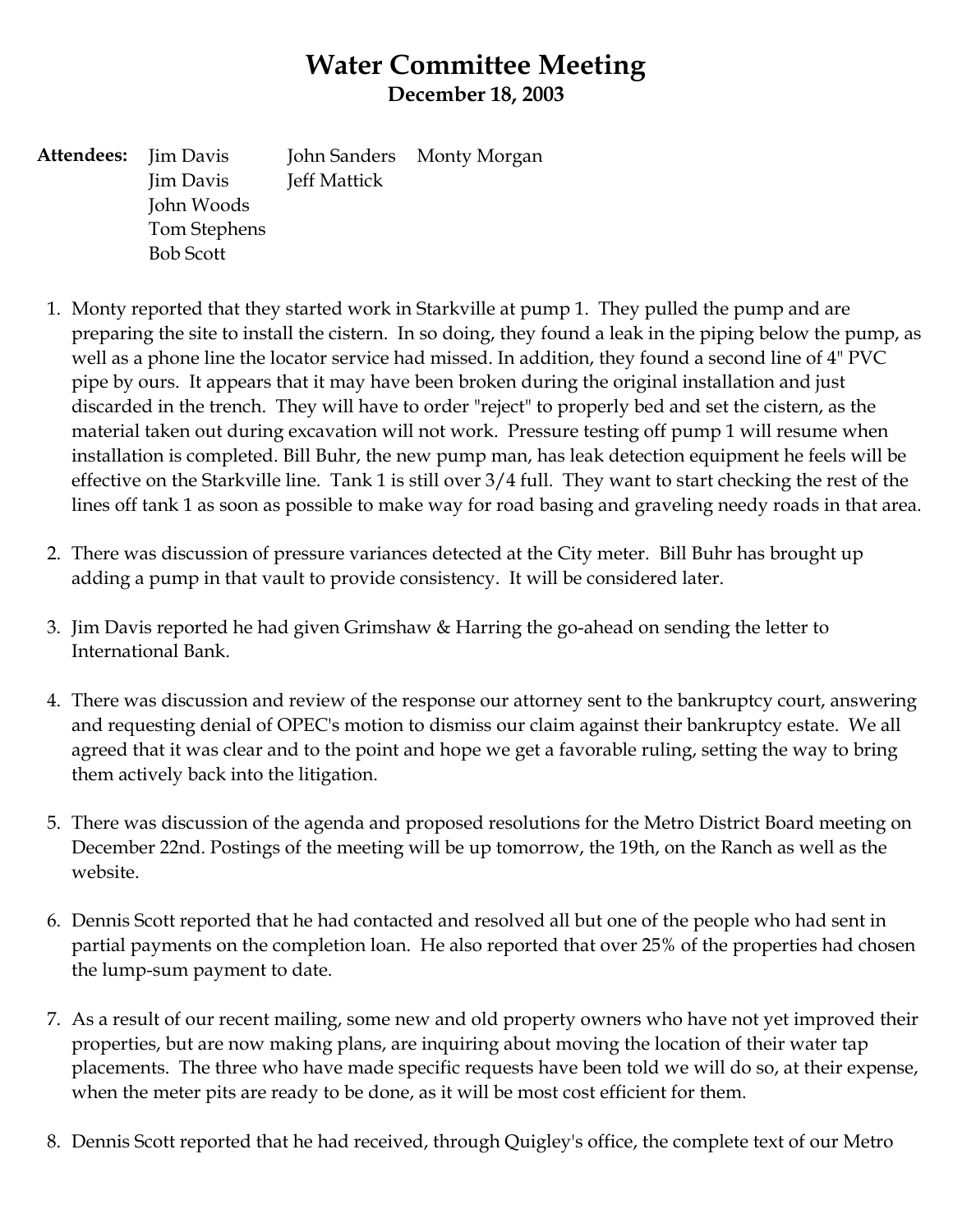## **Water Committee Meeting December 18, 2003**

**Attendees:** Jim Davis Jim Davis John Woods Tom Stephens Bob Scott John Sanders Jeff Mattick Monty Morgan

- 1. Monty reported that they started work in Starkville at pump 1. They pulled the pump and are preparing the site to install the cistern. In so doing, they found a leak in the piping below the pump, as well as a phone line the locator service had missed. In addition, they found a second line of 4" PVC pipe by ours. It appears that it may have been broken during the original installation and just discarded in the trench. They will have to order "reject" to properly bed and set the cistern, as the material taken out during excavation will not work. Pressure testing off pump 1 will resume when installation is completed. Bill Buhr, the new pump man, has leak detection equipment he feels will be effective on the Starkville line. Tank 1 is still over 3/4 full. They want to start checking the rest of the lines off tank 1 as soon as possible to make way for road basing and graveling needy roads in that area.
- 2. There was discussion of pressure variances detected at the City meter. Bill Buhr has brought up adding a pump in that vault to provide consistency. It will be considered later.
- 3. Jim Davis reported he had given Grimshaw & Harring the go-ahead on sending the letter to International Bank.
- 4. There was discussion and review of the response our attorney sent to the bankruptcy court, answering and requesting denial of OPEC's motion to dismiss our claim against their bankruptcy estate. We all agreed that it was clear and to the point and hope we get a favorable ruling, setting the way to bring them actively back into the litigation.
- 5. There was discussion of the agenda and proposed resolutions for the Metro District Board meeting on December 22nd. Postings of the meeting will be up tomorrow, the 19th, on the Ranch as well as the website.
- 6. Dennis Scott reported that he had contacted and resolved all but one of the people who had sent in partial payments on the completion loan. He also reported that over 25% of the properties had chosen the lump-sum payment to date.
- 7. As a result of our recent mailing, some new and old property owners who have not yet improved their properties, but are now making plans, are inquiring about moving the location of their water tap placements. The three who have made specific requests have been told we will do so, at their expense, when the meter pits are ready to be done, as it will be most cost efficient for them.
- 8. Dennis Scott reported that he had received, through Quigley's office, the complete text of our Metro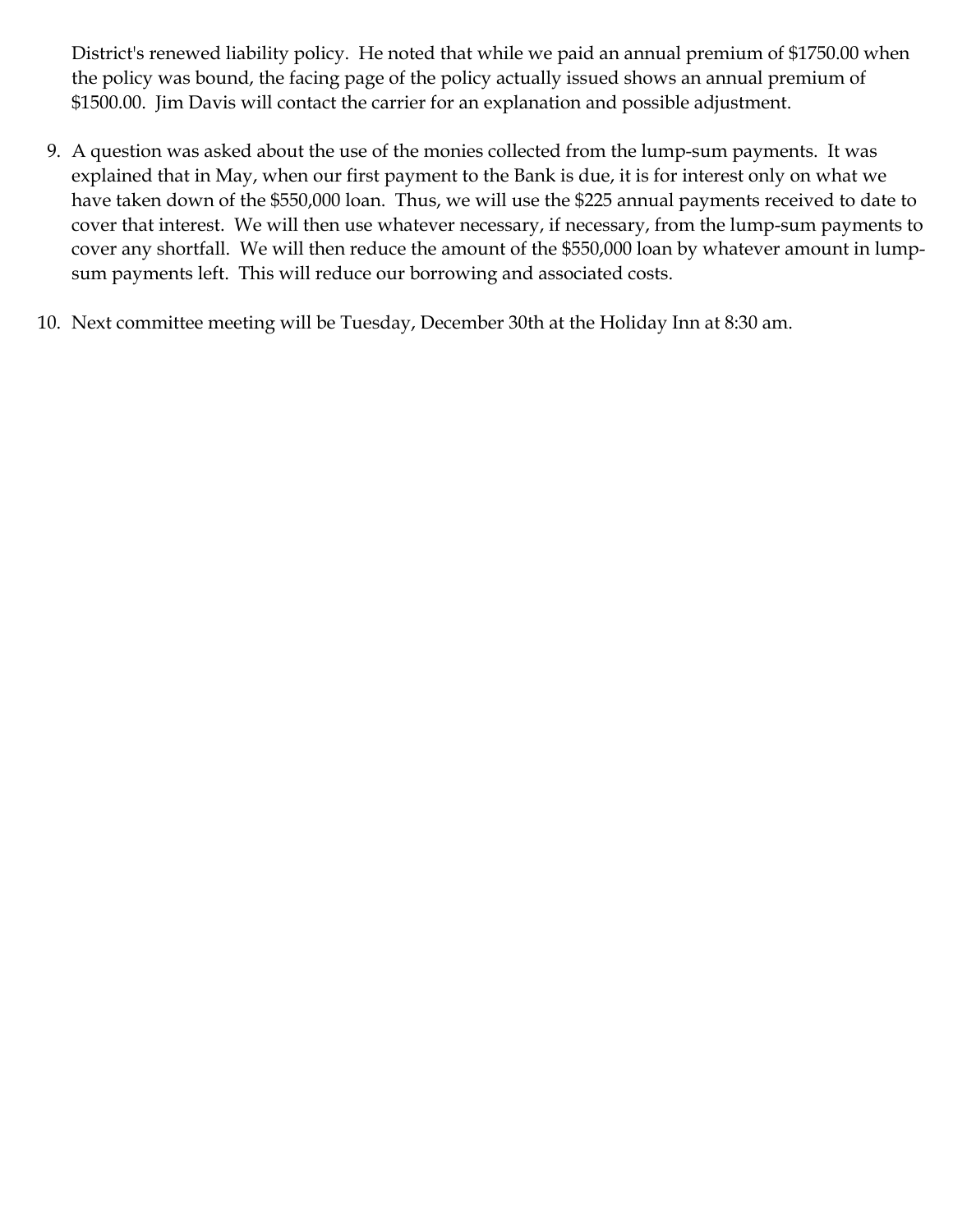District's renewed liability policy. He noted that while we paid an annual premium of \$1750.00 when the policy was bound, the facing page of the policy actually issued shows an annual premium of \$1500.00. Jim Davis will contact the carrier for an explanation and possible adjustment.

- 9. A question was asked about the use of the monies collected from the lump-sum payments. It was explained that in May, when our first payment to the Bank is due, it is for interest only on what we have taken down of the \$550,000 loan. Thus, we will use the \$225 annual payments received to date to cover that interest. We will then use whatever necessary, if necessary, from the lump-sum payments to cover any shortfall. We will then reduce the amount of the \$550,000 loan by whatever amount in lumpsum payments left. This will reduce our borrowing and associated costs.
- 10. Next committee meeting will be Tuesday, December 30th at the Holiday Inn at 8:30 am.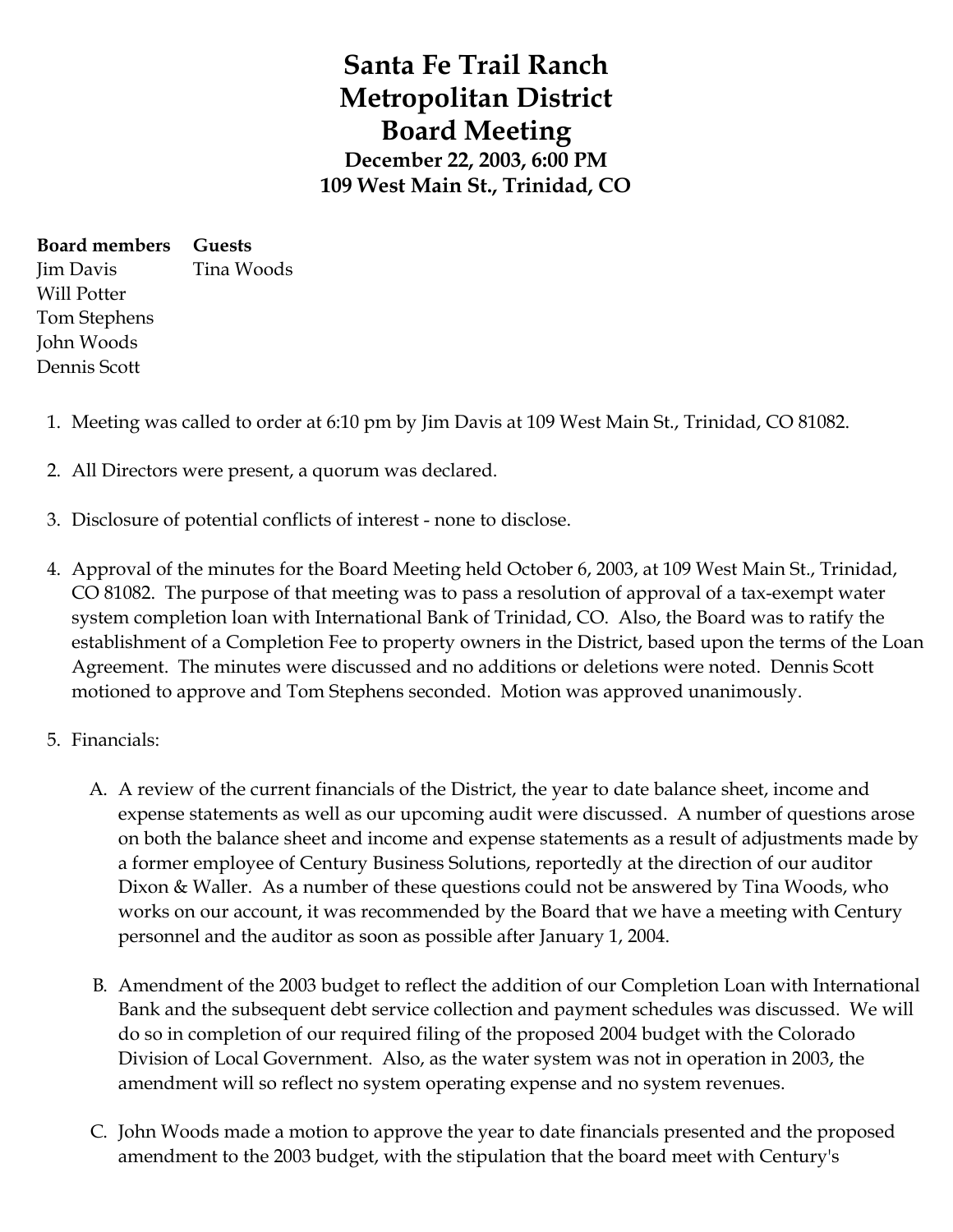# **Santa Fe Trail Ranch Metropolitan District Board Meeting December 22, 2003, 6:00 PM 109 West Main St., Trinidad, CO**

**Board members** Jim Davis Will Potter Tom Stephens John Woods Dennis Scott **Guests** Tina Woods

- 1. Meeting was called to order at 6:10 pm by Jim Davis at 109 West Main St., Trinidad, CO 81082.
- 2. All Directors were present, a quorum was declared.
- 3. Disclosure of potential conflicts of interest none to disclose.
- 4. Approval of the minutes for the Board Meeting held October 6, 2003, at 109 West Main St., Trinidad, CO 81082. The purpose of that meeting was to pass a resolution of approval of a tax-exempt water system completion loan with International Bank of Trinidad, CO. Also, the Board was to ratify the establishment of a Completion Fee to property owners in the District, based upon the terms of the Loan Agreement. The minutes were discussed and no additions or deletions were noted. Dennis Scott motioned to approve and Tom Stephens seconded. Motion was approved unanimously.
- 5. Financials:
	- A. A review of the current financials of the District, the year to date balance sheet, income and expense statements as well as our upcoming audit were discussed. A number of questions arose on both the balance sheet and income and expense statements as a result of adjustments made by a former employee of Century Business Solutions, reportedly at the direction of our auditor Dixon & Waller. As a number of these questions could not be answered by Tina Woods, who works on our account, it was recommended by the Board that we have a meeting with Century personnel and the auditor as soon as possible after January 1, 2004.
	- B. Amendment of the 2003 budget to reflect the addition of our Completion Loan with International Bank and the subsequent debt service collection and payment schedules was discussed. We will do so in completion of our required filing of the proposed 2004 budget with the Colorado Division of Local Government. Also, as the water system was not in operation in 2003, the amendment will so reflect no system operating expense and no system revenues.
	- C. John Woods made a motion to approve the year to date financials presented and the proposed amendment to the 2003 budget, with the stipulation that the board meet with Century's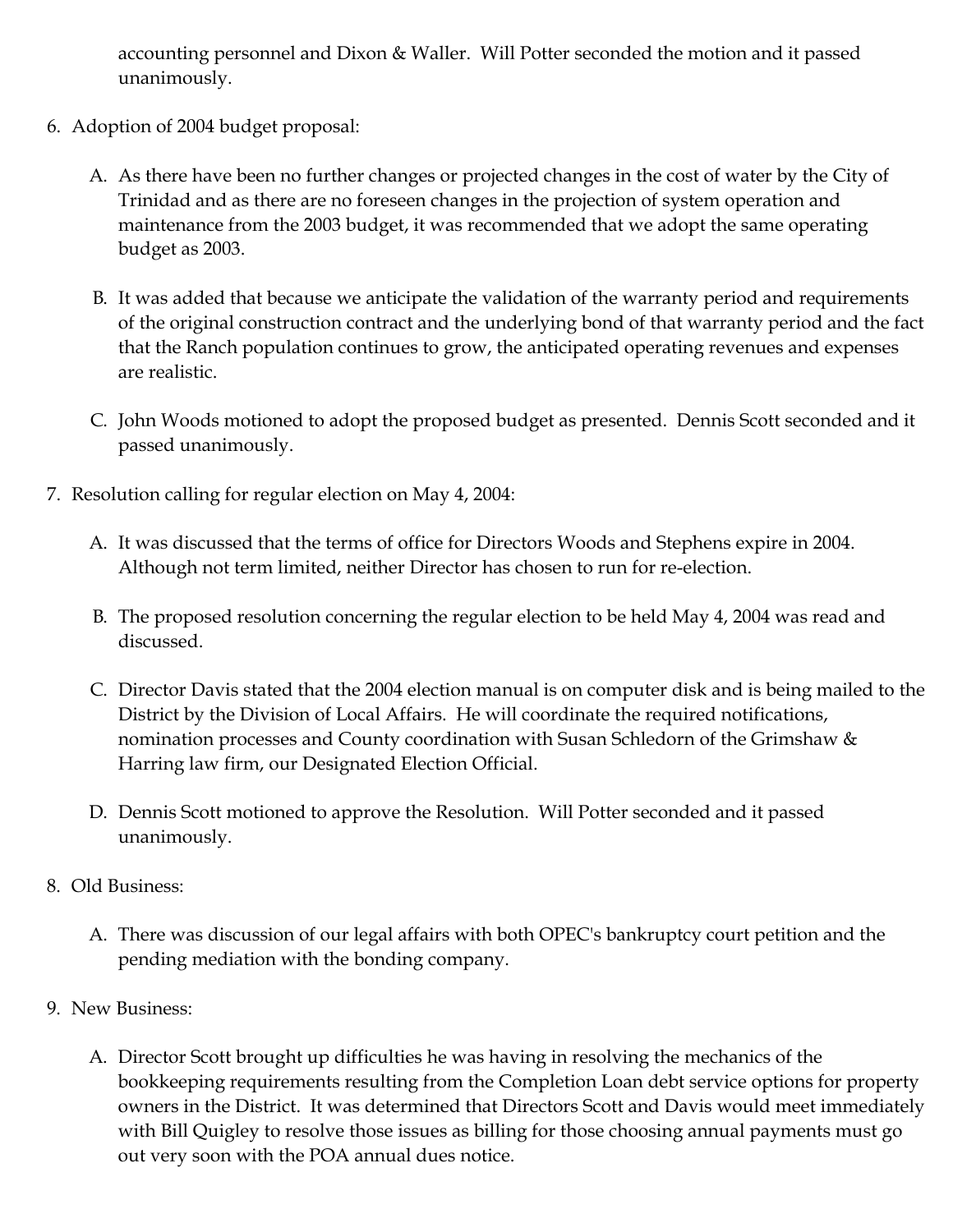accounting personnel and Dixon & Waller. Will Potter seconded the motion and it passed unanimously.

- 6. Adoption of 2004 budget proposal:
	- A. As there have been no further changes or projected changes in the cost of water by the City of Trinidad and as there are no foreseen changes in the projection of system operation and maintenance from the 2003 budget, it was recommended that we adopt the same operating budget as 2003.
	- B. It was added that because we anticipate the validation of the warranty period and requirements of the original construction contract and the underlying bond of that warranty period and the fact that the Ranch population continues to grow, the anticipated operating revenues and expenses are realistic.
	- C. John Woods motioned to adopt the proposed budget as presented. Dennis Scott seconded and it passed unanimously.
- 7. Resolution calling for regular election on May 4, 2004:
	- A. It was discussed that the terms of office for Directors Woods and Stephens expire in 2004. Although not term limited, neither Director has chosen to run for re-election.
	- B. The proposed resolution concerning the regular election to be held May 4, 2004 was read and discussed.
	- C. Director Davis stated that the 2004 election manual is on computer disk and is being mailed to the District by the Division of Local Affairs. He will coordinate the required notifications, nomination processes and County coordination with Susan Schledorn of the Grimshaw & Harring law firm, our Designated Election Official.
	- D. Dennis Scott motioned to approve the Resolution. Will Potter seconded and it passed unanimously.
- 8. Old Business:
	- A. There was discussion of our legal affairs with both OPEC's bankruptcy court petition and the pending mediation with the bonding company.
- 9. New Business:
	- A. Director Scott brought up difficulties he was having in resolving the mechanics of the bookkeeping requirements resulting from the Completion Loan debt service options for property owners in the District. It was determined that Directors Scott and Davis would meet immediately with Bill Quigley to resolve those issues as billing for those choosing annual payments must go out very soon with the POA annual dues notice.